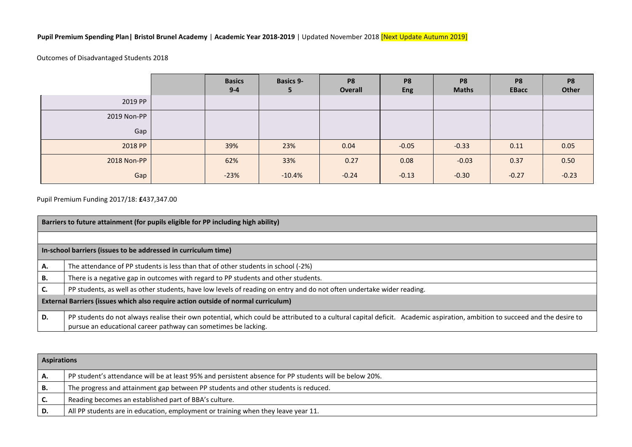## **Pupil Premium Spending Plan| Bristol Brunel Academy** | **Academic Year 2018-2019** | Updated November 2018 [Next Update Autumn 2019]

## Outcomes of Disadvantaged Students 2018

|             | <b>Basics</b><br>$9 - 4$ | <b>Basics 9-</b><br>э | P <sub>8</sub><br>Overall | P <sub>8</sub><br><b>Eng</b> | P <sub>8</sub><br><b>Maths</b> | P <sub>8</sub><br><b>EBacc</b> | P <sub>8</sub><br>Other |
|-------------|--------------------------|-----------------------|---------------------------|------------------------------|--------------------------------|--------------------------------|-------------------------|
| 2019 PP     |                          |                       |                           |                              |                                |                                |                         |
| 2019 Non-PP |                          |                       |                           |                              |                                |                                |                         |
| Gap         |                          |                       |                           |                              |                                |                                |                         |
| 2018 PP     | 39%                      | 23%                   | 0.04                      | $-0.05$                      | $-0.33$                        | 0.11                           | 0.05                    |
| 2018 Non-PP | 62%                      | 33%                   | 0.27                      | 0.08                         | $-0.03$                        | 0.37                           | 0.50                    |
| Gap         | $-23%$                   | $-10.4%$              | $-0.24$                   | $-0.13$                      | $-0.30$                        | $-0.27$                        | $-0.23$                 |

Pupil Premium Funding 2017/18: **£**437,347.00

|    | Barriers to future attainment (for pupils eligible for PP including high ability)                                                                                                                                                            |  |  |  |  |  |  |
|----|----------------------------------------------------------------------------------------------------------------------------------------------------------------------------------------------------------------------------------------------|--|--|--|--|--|--|
|    |                                                                                                                                                                                                                                              |  |  |  |  |  |  |
|    | In-school barriers (issues to be addressed in curriculum time)                                                                                                                                                                               |  |  |  |  |  |  |
| А. | The attendance of PP students is less than that of other students in school (-2%)                                                                                                                                                            |  |  |  |  |  |  |
| В. | There is a negative gap in outcomes with regard to PP students and other students.                                                                                                                                                           |  |  |  |  |  |  |
|    | PP students, as well as other students, have low levels of reading on entry and do not often undertake wider reading.                                                                                                                        |  |  |  |  |  |  |
|    | External Barriers (issues which also require action outside of normal curriculum)                                                                                                                                                            |  |  |  |  |  |  |
| D. | PP students do not always realise their own potential, which could be attributed to a cultural capital deficit. Academic aspiration, ambition to succeed and the desire to<br>pursue an educational career pathway can sometimes be lacking. |  |  |  |  |  |  |

|      | <b>Aspirations</b>                                                                                     |  |  |  |  |
|------|--------------------------------------------------------------------------------------------------------|--|--|--|--|
| ΙA.  | PP student's attendance will be at least 95% and persistent absence for PP students will be below 20%. |  |  |  |  |
| ΙB.  | The progress and attainment gap between PP students and other students is reduced.                     |  |  |  |  |
| l C. | Reading becomes an established part of BBA's culture.                                                  |  |  |  |  |
| ID.  | All PP students are in education, employment or training when they leave year 11.                      |  |  |  |  |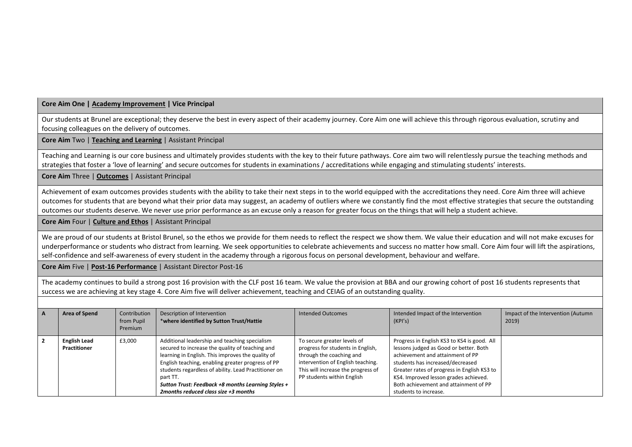**Core Aim One | Academy Improvement | Vice Principal**

Our students at Brunel are exceptional; they deserve the best in every aspect of their academy journey. Core Aim one will achieve this through rigorous evaluation, scrutiny and focusing colleagues on the delivery of outcomes.

**Core Aim** Two | **Teaching and Learning** | Assistant Principal

Teaching and Learning is our core business and ultimately provides students with the key to their future pathways. Core aim two will relentlessly pursue the teaching methods and strategies that foster a 'love of learning' and secure outcomes for students in examinations / accreditations while engaging and stimulating students' interests.

**Core Aim** Three | **Outcomes** | Assistant Principal

Achievement of exam outcomes provides students with the ability to take their next steps in to the world equipped with the accreditations they need. Core Aim three will achieve outcomes for students that are beyond what their prior data may suggest, an academy of outliers where we constantly find the most effective strategies that secure the outstanding outcomes our students deserve. We never use prior performance as an excuse only a reason for greater focus on the things that will help a student achieve.

**Core Aim** Four | **Culture and Ethos** | Assistant Principal

We are proud of our students at Bristol Brunel, so the ethos we provide for them needs to reflect the respect we show them. We value their education and will not make excuses for underperformance or students who distract from learning. We seek opportunities to celebrate achievements and success no matter how small. Core Aim four will lift the aspirations, self-confidence and self-awareness of every student in the academy through a rigorous focus on personal development, behaviour and welfare.

**Core Aim** Five | **Post-16 Performance** | Assistant Director Post-16

The academy continues to build a strong post 16 provision with the CLF post 16 team. We value the provision at BBA and our growing cohort of post 16 students represents that success we are achieving at key stage 4. Core Aim five will deliver achievement, teaching and CEIAG of an outstanding quality.

| $\overline{A}$ | Area of Spend                       | Contribution<br>from Pupil<br>Premium | Description of Intervention<br>*where identified by Sutton Trust/Hattie                                                                                                                                                                                                                                                                                                        | Intended Outcomes                                                                                                                                                                                     | Intended Impact of the Intervention<br>(KPI's)                                                                                                                                                                                                                                                                          | Impact of the Intervention (Autumn<br>2019) |
|----------------|-------------------------------------|---------------------------------------|--------------------------------------------------------------------------------------------------------------------------------------------------------------------------------------------------------------------------------------------------------------------------------------------------------------------------------------------------------------------------------|-------------------------------------------------------------------------------------------------------------------------------------------------------------------------------------------------------|-------------------------------------------------------------------------------------------------------------------------------------------------------------------------------------------------------------------------------------------------------------------------------------------------------------------------|---------------------------------------------|
|                | <b>English Lead</b><br>Practitioner | £3,000                                | Additional leadership and teaching specialism<br>secured to increase the quality of teaching and<br>learning in English. This improves the quality of<br>English teaching, enabling greater progress of PP<br>students regardless of ability. Lead Practitioner on<br>part TT.<br>Sutton Trust: Feedback +8 months Learning Styles +<br>2months reduced class size $+3$ months | To secure greater levels of<br>progress for students in English,<br>through the coaching and<br>intervention of English teaching.<br>This will increase the progress of<br>PP students within English | Progress in English KS3 to KS4 is good. All<br>lessons judged as Good or better. Both<br>achievement and attainment of PP<br>students has increased/decreased<br>Greater rates of progress in English KS3 to<br>KS4. Improved lesson grades achieved.<br>Both achievement and attainment of PP<br>students to increase. |                                             |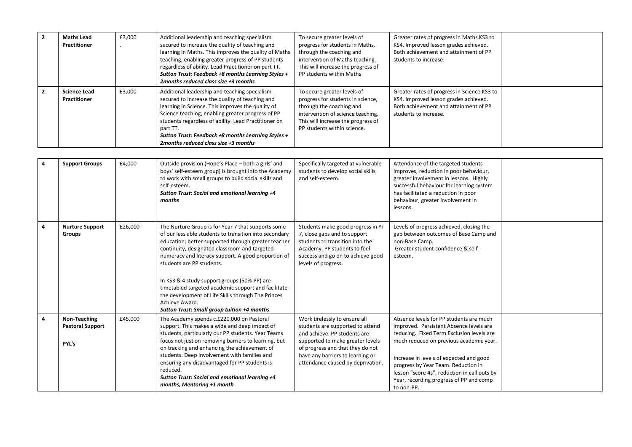| $\overline{2}$ | <b>Maths Lead</b><br><b>Practitioner</b>   | £3,000 | Additional leadership and teaching specialism<br>secured to increase the quality of teaching and<br>learning in Maths. This improves the quality of Maths<br>teaching, enabling greater progress of PP students<br>regardless of ability. Lead Practitioner on part TT.<br>Sutton Trust: Feedback +8 months Learning Styles +<br>2 months reduced class size $+3$ months        | To secure greater levels of<br>progress for students in Maths,<br>through the coaching and<br>intervention of Maths teaching.<br>This will increase the progress of<br>PP students within Maths        | Greater rates of progress in Maths KS3 to<br>KS4. Improved lesson grades achieved.<br>Both achievement and attainment of PP<br>students to increase.   |  |
|----------------|--------------------------------------------|--------|---------------------------------------------------------------------------------------------------------------------------------------------------------------------------------------------------------------------------------------------------------------------------------------------------------------------------------------------------------------------------------|--------------------------------------------------------------------------------------------------------------------------------------------------------------------------------------------------------|--------------------------------------------------------------------------------------------------------------------------------------------------------|--|
| $\overline{2}$ | <b>Science Lead</b><br><b>Practitioner</b> | £3,000 | Additional leadership and teaching specialism<br>secured to increase the quality of teaching and<br>learning in Science. This improves the quality of<br>Science teaching, enabling greater progress of PP<br>students regardless of ability. Lead Practitioner on<br>part TT.<br>Sutton Trust: Feedback +8 months Learning Styles +<br>2 months reduced class size $+3$ months | To secure greater levels of<br>progress for students in science,<br>through the coaching and<br>intervention of science teaching.<br>This will increase the progress of<br>PP students within science. | Greater rates of progress in Science KS3 to<br>KS4. Improved lesson grades achieved.<br>Both achievement and attainment of PP<br>students to increase. |  |

| 4 | <b>Support Groups</b>                                   | £4,000  | Outside provision (Hope's Place – both a girls' and<br>boys' self-esteem group) is brought into the Academy<br>to work with small groups to build social skills and<br>self-esteem.<br>Sutton Trust: Social and emotional learning +4<br>months                                                                                                                                                                                                                                                                                        | Specifically targeted at vulnerable<br>students to develop social skills<br>and self-esteem.                                                                                                                                                       | Attendance of the targeted students<br>improves, reduction in poor behaviour,<br>greater involvement in lessons. Highly<br>successful behaviour for learning system<br>has facilitated a reduction in poor<br>behaviour, greater involvement in<br>lessons.                                                                                                           |  |
|---|---------------------------------------------------------|---------|----------------------------------------------------------------------------------------------------------------------------------------------------------------------------------------------------------------------------------------------------------------------------------------------------------------------------------------------------------------------------------------------------------------------------------------------------------------------------------------------------------------------------------------|----------------------------------------------------------------------------------------------------------------------------------------------------------------------------------------------------------------------------------------------------|-----------------------------------------------------------------------------------------------------------------------------------------------------------------------------------------------------------------------------------------------------------------------------------------------------------------------------------------------------------------------|--|
| 4 | <b>Nurture Support</b><br>Groups                        | £26,000 | The Nurture Group is for Year 7 that supports some<br>of our less able students to transition into secondary<br>education; better supported through greater teacher<br>continuity, designated classroom and targeted<br>numeracy and literacy support. A good proportion of<br>students are PP students.<br>In KS3 & 4 study support groups (50% PP) are<br>timetabled targeted academic support and facilitate<br>the development of Life Skills through The Princes<br>Achieve Award.<br>Sutton Trust: Small group tuition +4 months | Students make good progress in Yr<br>7, close gaps and to support<br>students to transition into the<br>Academy. PP students to feel<br>success and go on to achieve good<br>levels of progress.                                                   | Levels of progress achieved, closing the<br>gap between outcomes of Base Camp and<br>non-Base Camp.<br>Greater student confidence & self-<br>esteem.                                                                                                                                                                                                                  |  |
| 4 | <b>Non-Teaching</b><br><b>Pastoral Support</b><br>PYL's | £45,000 | The Academy spends c.£220,000 on Pastoral<br>support. This makes a wide and deep impact of<br>students, particularly our PP students. Year Teams<br>focus not just on removing barriers to learning, but<br>on tracking and enhancing the achievement of<br>students. Deep involvement with families and<br>ensuring any disadvantaged for PP students is<br>reduced.<br>Sutton Trust: Social and emotional learning +4<br>months, Mentoring +1 month                                                                                  | Work tirelessly to ensure all<br>students are supported to attend<br>and achieve. PP students are<br>supported to make greater levels<br>of progress and that they do not<br>have any barriers to learning or<br>attendance caused by deprivation. | Absence levels for PP students are much<br>improved. Persistent Absence levels are<br>reducing. Fixed Term Exclusion levels are<br>much reduced on previous academic year.<br>Increase in levels of expected and good<br>progress by Year Team. Reduction in<br>lesson "score 4s", reduction in call outs by<br>Year, recording progress of PP and comp<br>to non-PP. |  |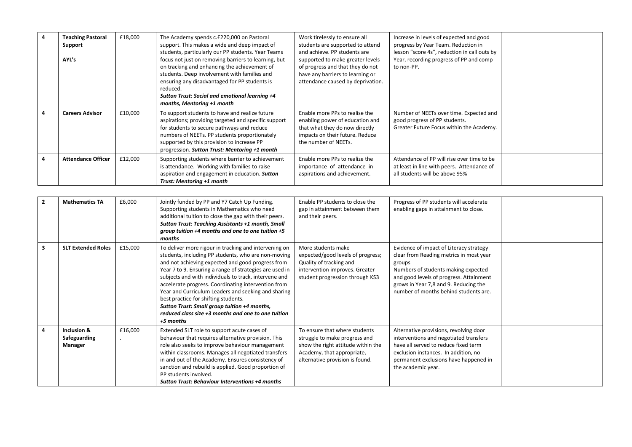|   | <b>Teaching Pastoral</b><br>Support<br>AYL's | £18,000 | The Academy spends c.£220,000 on Pastoral<br>support. This makes a wide and deep impact of<br>students, particularly our PP students. Year Teams<br>focus not just on removing barriers to learning, but<br>on tracking and enhancing the achievement of<br>students. Deep involvement with families and<br>ensuring any disadvantaged for PP students is<br>reduced.<br>Sutton Trust: Social and emotional learning +4<br>months, Mentoring +1 month | Work tirelessly to ensure all<br>students are supported to attend<br>and achieve. PP students are<br>supported to make greater levels<br>of progress and that they do not<br>have any barriers to learning or<br>attendance caused by deprivation. | Increase in levels of expected and good<br>progress by Year Team. Reduction in<br>lesson "score 4s", reduction in call outs by<br>Year, recording progress of PP and comp<br>to non-PP. |  |
|---|----------------------------------------------|---------|-------------------------------------------------------------------------------------------------------------------------------------------------------------------------------------------------------------------------------------------------------------------------------------------------------------------------------------------------------------------------------------------------------------------------------------------------------|----------------------------------------------------------------------------------------------------------------------------------------------------------------------------------------------------------------------------------------------------|-----------------------------------------------------------------------------------------------------------------------------------------------------------------------------------------|--|
|   | <b>Careers Advisor</b>                       | £10,000 | To support students to have and realize future<br>aspirations; providing targeted and specific support<br>for students to secure pathways and reduce<br>numbers of NEETs. PP students proportionately<br>supported by this provision to increase PP<br>progression. Sutton Trust: Mentoring +1 month                                                                                                                                                  | Enable more PPs to realise the<br>enabling power of education and<br>that what they do now directly<br>impacts on their future. Reduce<br>the number of NEETs.                                                                                     | Number of NEETs over time. Expected and<br>good progress of PP students.<br>Greater Future Focus within the Academy.                                                                    |  |
| 4 | <b>Attendance Officer</b>                    | £12,000 | Supporting students where barrier to achievement<br>is attendance. Working with families to raise<br>aspiration and engagement in education. Sutton<br>Trust: Mentoring +1 month                                                                                                                                                                                                                                                                      | Enable more PPs to realize the<br>importance of attendance in<br>aspirations and achievement.                                                                                                                                                      | Attendance of PP will rise over time to be<br>at least in line with peers. Attendance of<br>all students will be above 95%                                                              |  |

| $\mathbf{2}$ | <b>Mathematics TA</b>                  | £6,000  | Jointly funded by PP and Y7 Catch Up Funding.<br>Supporting students in Mathematics who need<br>additional tuition to close the gap with their peers.<br><b>Sutton Trust: Teaching Assistants +1 month, Small</b><br>group tuition +4 months and one to one tuition +5<br>months                                                                                                                                                                                                                                                                                    | Enable PP students to close the<br>gap in attainment between them<br>and their peers.                                                                                 | Progress of PP students will accelerate<br>enabling gaps in attainment to close.                                                                                                                                                                                 |  |
|--------------|----------------------------------------|---------|---------------------------------------------------------------------------------------------------------------------------------------------------------------------------------------------------------------------------------------------------------------------------------------------------------------------------------------------------------------------------------------------------------------------------------------------------------------------------------------------------------------------------------------------------------------------|-----------------------------------------------------------------------------------------------------------------------------------------------------------------------|------------------------------------------------------------------------------------------------------------------------------------------------------------------------------------------------------------------------------------------------------------------|--|
| 3            | <b>SLT Extended Roles</b>              | £15,000 | To deliver more rigour in tracking and intervening on<br>students, including PP students, who are non-moving<br>and not achieving expected and good progress from<br>Year 7 to 9. Ensuring a range of strategies are used in<br>subjects and with individuals to track, intervene and<br>accelerate progress. Coordinating intervention from<br>Year and Curriculum Leaders and seeking and sharing<br>best practice for shifting students.<br>Sutton Trust: Small group tuition +4 months,<br>reduced class size $+3$ months and one to one tuition<br>$+5$ months | More students make<br>expected/good levels of progress;<br>Quality of tracking and<br>intervention improves. Greater<br>student progression through KS3               | Evidence of impact of Literacy strategy<br>clear from Reading metrics in most year<br>groups<br>Numbers of students making expected<br>and good levels of progress. Attainment<br>grows in Year 7,8 and 9. Reducing the<br>number of months behind students are. |  |
| 4            | Inclusion &<br>Safeguarding<br>Manager | £16,000 | Extended SLT role to support acute cases of<br>behaviour that requires alternative provision. This<br>role also seeks to improve behaviour management<br>within classrooms. Manages all negotiated transfers<br>in and out of the Academy. Ensures consistency of<br>sanction and rebuild is applied. Good proportion of<br>PP students involved.<br><b>Sutton Trust: Behaviour Interventions +4 months</b>                                                                                                                                                         | To ensure that where students<br>struggle to make progress and<br>show the right attitude within the<br>Academy, that appropriate,<br>alternative provision is found. | Alternative provisions, revolving door<br>interventions and negotiated transfers<br>have all served to reduce fixed term<br>exclusion instances. In addition, no<br>permanent exclusions have happened in<br>the academic year.                                  |  |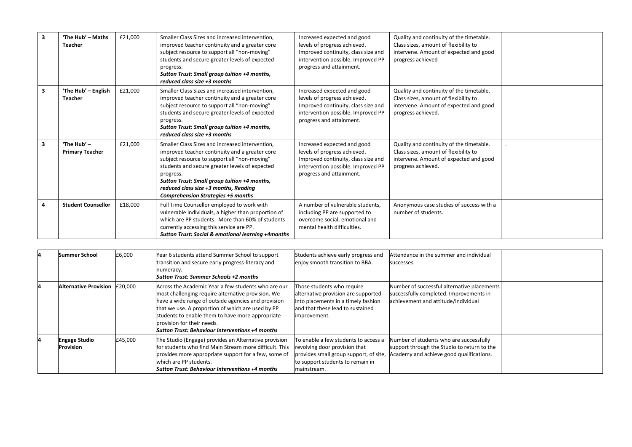| $\overline{\mathbf{3}}$ | 'The Hub' - Maths<br><b>Teacher</b>     | £21,000 | Smaller Class Sizes and increased intervention,<br>improved teacher continuity and a greater core<br>subject resource to support all "non-moving"<br>students and secure greater levels of expected<br>progress.<br>Sutton Trust: Small group tuition +4 months,<br>reduced class size +3 months                                                       | Increased expected and good<br>levels of progress achieved.<br>Improved continuity, class size and<br>intervention possible. Improved PP<br>progress and attainment. | Quality and continuity of the timetable.<br>Class sizes, amount of flexibility to<br>intervene. Amount of expected and good<br>progress achieved  |  |
|-------------------------|-----------------------------------------|---------|--------------------------------------------------------------------------------------------------------------------------------------------------------------------------------------------------------------------------------------------------------------------------------------------------------------------------------------------------------|----------------------------------------------------------------------------------------------------------------------------------------------------------------------|---------------------------------------------------------------------------------------------------------------------------------------------------|--|
| 3                       | 'The Hub' - English<br><b>Teacher</b>   | £21,000 | Smaller Class Sizes and increased intervention,<br>improved teacher continuity and a greater core<br>subject resource to support all "non-moving"<br>students and secure greater levels of expected<br>progress.<br>Sutton Trust: Small group tuition +4 months,<br>reduced class size +3 months                                                       | Increased expected and good<br>levels of progress achieved.<br>Improved continuity, class size and<br>intervention possible. Improved PP<br>progress and attainment. | Quality and continuity of the timetable.<br>Class sizes, amount of flexibility to<br>intervene. Amount of expected and good<br>progress achieved. |  |
| $\overline{\mathbf{3}}$ | 'The Hub' $-$<br><b>Primary Teacher</b> | £21,000 | Smaller Class Sizes and increased intervention,<br>improved teacher continuity and a greater core<br>subject resource to support all "non-moving"<br>students and secure greater levels of expected<br>progress.<br>Sutton Trust: Small group tuition +4 months,<br>reduced class size +3 months, Reading<br><b>Comprehension Strategies +5 months</b> | Increased expected and good<br>levels of progress achieved.<br>Improved continuity, class size and<br>intervention possible. Improved PP<br>progress and attainment. | Quality and continuity of the timetable.<br>Class sizes, amount of flexibility to<br>intervene. Amount of expected and good<br>progress achieved. |  |
| 4                       | <b>Student Counsellor</b>               | £18,000 | Full Time Counsellor employed to work with<br>vulnerable individuals, a higher than proportion of<br>which are PP students. More than 60% of students<br>currently accessing this service are PP.<br>Sutton Trust: Social & emotional learning +4months                                                                                                | A number of vulnerable students.<br>including PP are supported to<br>overcome social, emotional and<br>mental health difficulties.                                   | Anonymous case studies of success with a<br>number of students.                                                                                   |  |

| <b>Summer School</b>                     | £6,000  | Year 6 students attend Summer School to support<br>transition and secure early progress-literacy and<br>numeracy.<br>Sutton Trust: Summer Schools +2 months                                                                                                                                                                                                | Students achieve early progress and<br>enjoy smooth transition to BBA.                                                                                             | Attendance in the summer and individual<br>successes                                                                               |  |
|------------------------------------------|---------|------------------------------------------------------------------------------------------------------------------------------------------------------------------------------------------------------------------------------------------------------------------------------------------------------------------------------------------------------------|--------------------------------------------------------------------------------------------------------------------------------------------------------------------|------------------------------------------------------------------------------------------------------------------------------------|--|
| <b>Alternative Provision</b>             | £20.000 | Across the Academic Year a few students who are our<br>most challenging require alternative provision. We<br>have a wide range of outside agencies and provision<br>that we use. A proportion of which are used by PP<br>students to enable them to have more appropriate<br>provision for their needs.<br>Sutton Trust: Behaviour Interventions +4 months | hose students who require<br>alternative provision are supported<br>into placements in a timely fashion<br>and that these lead to sustained<br>improvement.        | Number of successful alternative placements<br>successfully completed. Improvements in<br>achievement and attitude/individual      |  |
| <b>Engage Studio</b><br><b>Provision</b> | £45,000 | The Studio (Engage) provides an Alternative provision<br>for students who find Main Stream more difficult. This<br>provides more appropriate support for a few, some of<br>which are PP students.<br><b>Sutton Trust: Behaviour Interventions +4 months</b>                                                                                                | To enable a few students to access a<br>revolving door provision that<br>provides small group support, of site,<br>to support students to remain in<br>mainstream. | Number of students who are successfully<br>support through the Studio to return to the<br>Academy and achieve good qualifications. |  |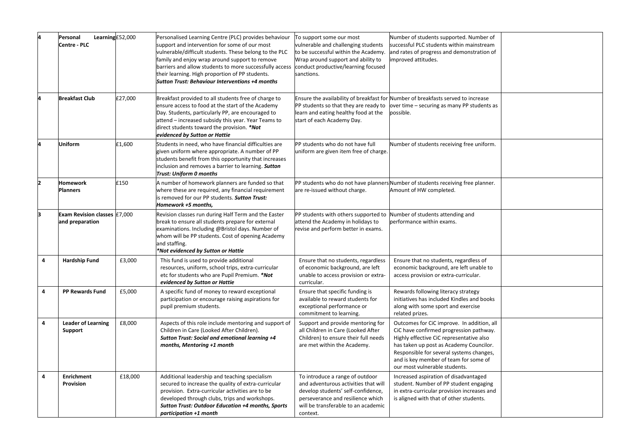|                | Learning £52,000<br>Personal<br>Centre - PLC    |         | Personalised Learning Centre (PLC) provides behaviour<br>support and intervention for some of our most<br>vulnerable/difficult students. These belong to the PLC<br>family and enjoy wrap around support to remove<br>barriers and allow students to more successfully access<br>their learning. High proportion of PP students.<br><b>Sutton Trust: Behaviour Interventions +4 months</b> | To support some our most<br>vulnerable and challenging students<br>to be successful within the Academy.<br>Wrap around support and ability to<br>conduct productive/learning focused<br>sanctions.    | Number of students supported. Number of<br>successful PLC students within mainstream<br>and rates of progress and demonstration of<br>improved attitudes.                                                                                                                                          |  |
|----------------|-------------------------------------------------|---------|--------------------------------------------------------------------------------------------------------------------------------------------------------------------------------------------------------------------------------------------------------------------------------------------------------------------------------------------------------------------------------------------|-------------------------------------------------------------------------------------------------------------------------------------------------------------------------------------------------------|----------------------------------------------------------------------------------------------------------------------------------------------------------------------------------------------------------------------------------------------------------------------------------------------------|--|
|                | <b>Breakfast Club</b>                           | £27,000 | Breakfast provided to all students free of charge to<br>ensure access to food at the start of the Academy<br>Day. Students, particularly PP, are encouraged to<br>attend - increased subsidy this year. Year Teams to<br>direct students toward the provision. *Not<br>evidenced by Sutton or Hattie                                                                                       | PP students so that they are ready to<br>learn and eating healthy food at the<br>start of each Academy Day.                                                                                           | Ensure the availability of breakfast for Number of breakfasts served to increase<br>over time – securing as many PP students as<br>possible.                                                                                                                                                       |  |
|                | <b>Uniform</b>                                  | £1,600  | Students in need, who have financial difficulties are<br>given uniform where appropriate. A number of PP<br>students benefit from this opportunity that increases<br>inclusion and removes a barrier to learning. <b>Sutton</b><br><b>Trust: Uniform 0 months</b>                                                                                                                          | PP students who do not have full<br>uniform are given item free of charge.                                                                                                                            | Number of students receiving free uniform.                                                                                                                                                                                                                                                         |  |
| $\overline{2}$ | <b>Homework</b><br><b>Planners</b>              | £150    | A number of homework planners are funded so that<br>where these are required, any financial requirement<br>is removed for our PP students. Sutton Trust:<br>Homework +5 months,                                                                                                                                                                                                            | are re-issued without charge.                                                                                                                                                                         | PP students who do not have planners Number of students receiving free planner.<br>Amount of HW completed.                                                                                                                                                                                         |  |
| k              | Exam Revision classes £7,000<br>and preparation |         | Revision classes run during Half Term and the Easter<br>break to ensure all students prepare for external<br>examinations. Including @Bristol days. Number of<br>whom will be PP students. Cost of opening Academy<br>and staffing.<br>*Not evidenced by Sutton or Hattie                                                                                                                  | PP students with others supported to<br>attend the Academy in holidays to<br>revise and perform better in exams.                                                                                      | Number of students attending and<br>performance within exams.                                                                                                                                                                                                                                      |  |
| 4              | <b>Hardship Fund</b>                            | £3,000  | This fund is used to provide additional<br>resources, uniform, school trips, extra-curricular<br>etc for students who are Pupil Premium. *Not<br>evidenced by Sutton or Hattie                                                                                                                                                                                                             | Ensure that no students, regardless<br>of economic background, are left<br>unable to access provision or extra-<br>curricular.                                                                        | Ensure that no students, regardless of<br>economic background, are left unable to<br>access provision or extra-curricular.                                                                                                                                                                         |  |
| 4              | PP Rewards Fund                                 | £5,000  | A specific fund of money to reward exceptional<br>participation or encourage raising aspirations for<br>pupil premium students.                                                                                                                                                                                                                                                            | Ensure that specific funding is<br>available to reward students for<br>exceptional performance or<br>commitment to learning.                                                                          | Rewards following literacy strategy<br>initiatives has included Kindles and books<br>along with some sport and exercise<br>related prizes.                                                                                                                                                         |  |
| 4              | <b>Leader of Learning</b><br>Support            | £8,000  | Aspects of this role include mentoring and support of<br>Children in Care (Looked After Children).<br>Sutton Trust: Social and emotional learning +4<br>months, Mentoring +1 month                                                                                                                                                                                                         | Support and provide mentoring for<br>all Children in Care (Looked After<br>Children) to ensure their full needs<br>are met within the Academy.                                                        | Outcomes for CiC improve. In addition, all<br>CiC have confirmed progression pathway.<br>Highly effective CiC representative also<br>has taken up post as Academy Councilor.<br>Responsible for several systems changes,<br>and is key member of team for some of<br>our most vulnerable students. |  |
| 4              | <b>Enrichment</b><br>Provision                  | £18,000 | Additional leadership and teaching specialism<br>secured to increase the quality of extra-curricular<br>provision. Extra-curricular activities are to be<br>developed through clubs, trips and workshops.<br>Sutton Trust: Outdoor Education +4 months, Sports<br>participation +1 month                                                                                                   | To introduce a range of outdoor<br>and adventurous activities that will<br>develop students' self-confidence,<br>perseverance and resilience which<br>will be transferable to an academic<br>context. | Increased aspiration of disadvantaged<br>student. Number of PP student engaging<br>in extra-curricular provision increases and<br>is aligned with that of other students.                                                                                                                          |  |